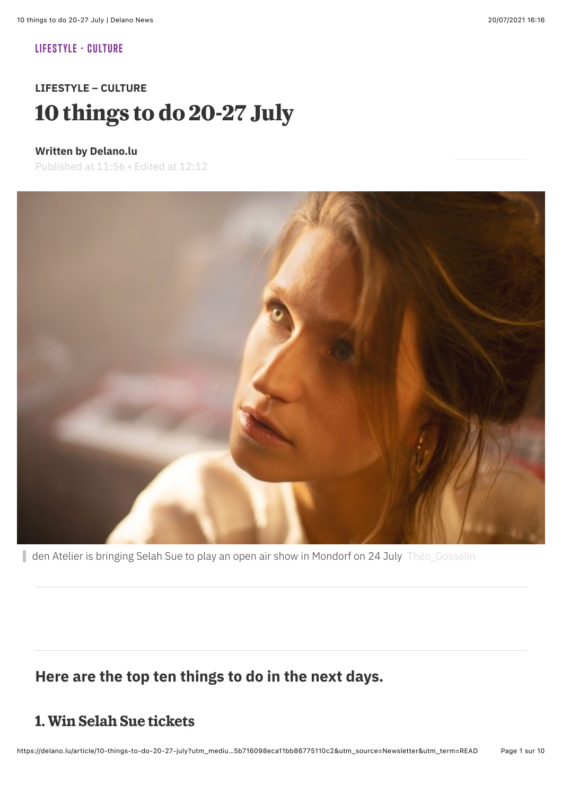#### **[LIFESTYLE](https://delano.lu/sector/lifestyle) [- CULTURE](https://delano.lu/sector/lifestyle/culture)**

# **LIFESTYLE – CULTURE** 10 things to do 20-27 July

#### **Written by Delano.lu**

Published at 11:56 • Edited at 12:12



den Atelier is bringing Selah Sue to play an open air show in Mondorf on 24 July Théo\_Gosselin

### **Here are the top ten things to do in the next days.**

### **1. Win Selah Sue tickets**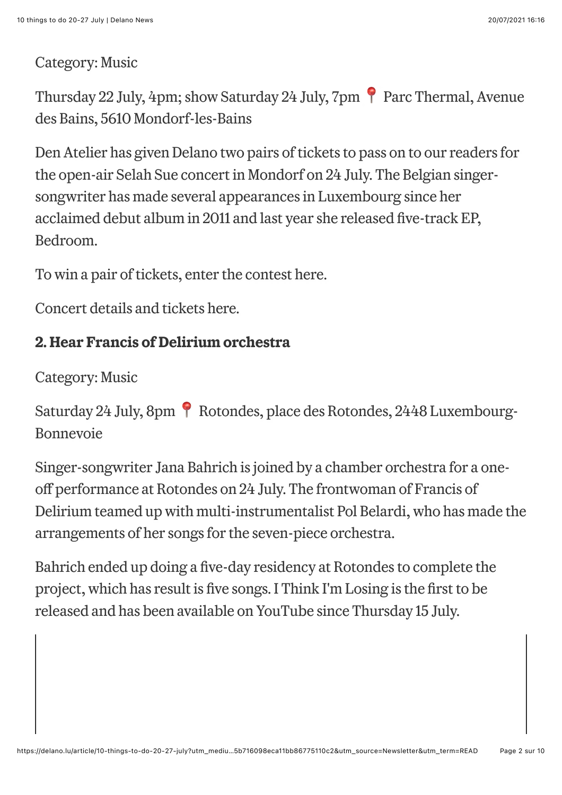### Category: Music

Thursday 22 July, 4pm; show Saturday 24 July, 7pm Parc Thermal, Avenue des Bains, 5610 Mondorf-les-Bains

Den Atelier has given Delano two pairs of tickets to pass on to our readers for the open-air Selah Sue concert in Mondorf on 24 July. The Belgian singersongwriter has made several appearances in Luxembourg since her acclaimed debut album in 2011 and last year she released five-track EP, Bedroom.

To win a pair of tickets, enter the [contest here.](https://maisonmoderne.typeform.com/to/TCQkDcWD)

Concert details and [tickets here.](https://www.atelier.lu/shows/selah-sue-4/)

### **2. Hear Francis of Delirium orchestra**

Category: Music

Saturday 24 July, 8pm Rotondes, place des Rotondes, 2448 Luxembourg-Bonnevoie

Singer-songwriter Jana Bahrich is joined by a chamber orchestra for a oneoff performance at Rotondes on 24 July. The frontwoman of Francis of Delirium teamed up with multi-instrumentalist Pol Belardi, who has made the arrangements of her songs for the seven-piece orchestra.

Bahrich ended up doing a five-day residency at Rotondes to complete the project, which has result is five songs. I Think I'm Losing is the first to be released and has been available on YouTube since Thursday 15 July.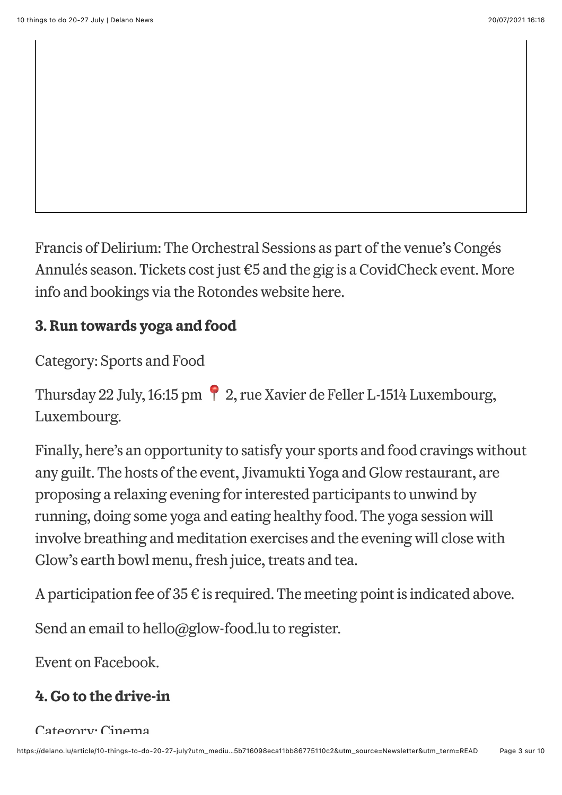Francis of Delirium: The Orchestral Sessions as part of the venue's Congés Annulés season. Tickets cost just €5 and the gig is a CovidCheck event. More info and bookings via the Rotondes website [here](https://www.rotondes.lu/fr/agenda/francis-of-delirium-the-orchestral-session).

## **3. Run towards yoga and food**

Category: Sports and Food

Thursday 22 July, 16:15 pm 2, rue Xavier de Feller L-1514 Luxembourg, Luxembourg.

Finally, here's an opportunity to satisfy your sports and food cravings without any guilt. The hosts of the event, Jivamukti Yoga and Glow restaurant, are proposing a relaxing evening for interested participants to unwind by running, doing some yoga and eating healthy food. The yoga session will involve breathing and meditation exercises and the evening will close with Glow's earth bowl menu, fresh juice, treats and tea.

A participation fee of  $35 \in \mathfrak{g}$  is required. The meeting point is indicated above.

Send an email to [hello@glow-food.lu](mailto:hello@glow-food.lu) to register.

[Event on Facebook](https://minettpark.lu/eng/evenements/56_exposition-a-bord-de-manette-fusenig).

# **4. Go to the drive-in**

#### Category: Cinema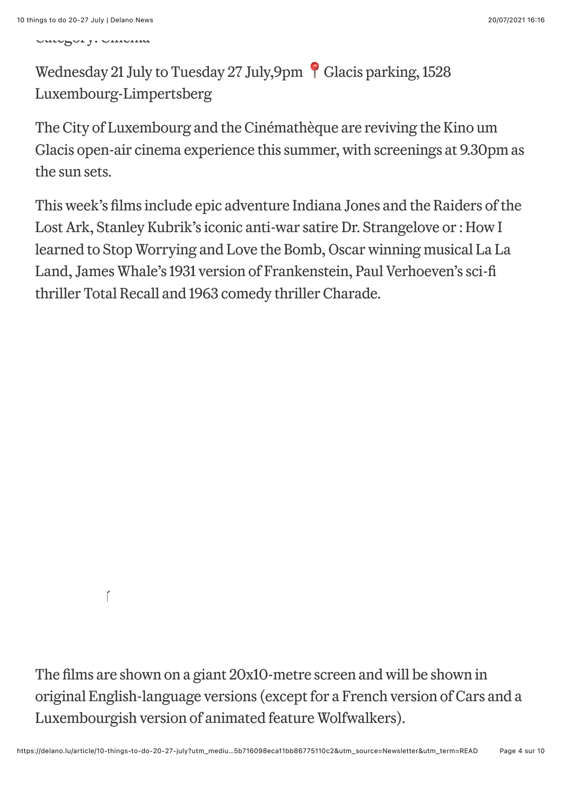Category: Cinema

# Wednesday 21 July to Tuesday 27 July,9pm Glacis parking, 1528 Luxembourg-Limpertsberg

The City of Luxembourg and the Cinémathèque are reviving the Kino um Glacis open-air cinema experience this summer, with screenings at 9.30pm as the sun sets.

This week's films include epic adventure Indiana Jones and the Raiders of the [Lost Ark, Stanley Kubrik's iconic anti-war satire Dr. Strangelove or : How I](https://www.facebook.com/events/2561629400800339/) [learned to Stop Worrying and Love the Bomb, Oscar winning musical La](https://www.facebook.com/events/1683353418542384/) [La](https://www.facebook.com/events/261245522438092/) Land, James Whale's 1931 version of [Frankenstein](https://www.facebook.com/events/503651957522523/), Paul Verhoeven's sci-fi thriller [Total Recall](https://www.facebook.com/events/536049024416398/) and 1963 comedy thriller [Charade.](https://www.facebook.com/events/1183668968804356/)

Ĭ

The films are shown on a giant 20x10-metre screen and will be shown in original English-language versions (except for a French version of Cars and a Luxembourgish version of animated feature Wolfwalkers).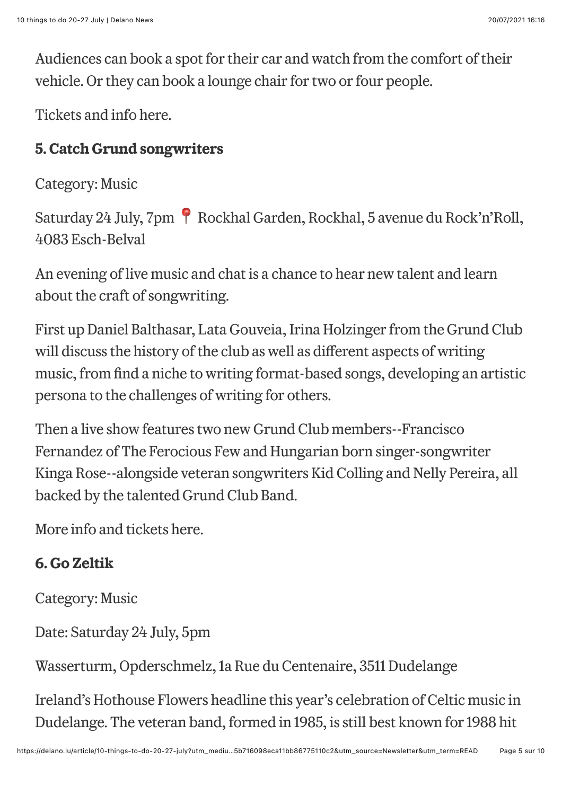Audiences can book a spot for their car and watch from the comfort of their vehicle. Or they can book a lounge chair for two or four people.

[Tickets and info here](https://www.vdl.lu/en/visiting/art-and-culture/film/cinematheque/kino-um-glacis).

# **5. Catch Grund songwriters**

Category: Music

Saturday 24 July, 7pm Rockhal Garden, Rockhal, 5 avenue du Rock'n'Roll, 4083 Esch-Belval

An evening of live music and chat is a chance to hear new talent and learn about the craft of songwriting.

First up Daniel Balthasar, Lata Gouveia, Irina Holzinger from the Grund Club will discuss the history of the club as well as different aspects of writing music, from find a niche to writing format-based songs, developing an artistic persona to the challenges of writing for others.

Then a live show features two new Grund Club members--Francisco Fernandez of The Ferocious Few and Hungarian born singer-songwriter Kinga Rose--alongside veteran songwriters Kid Colling and Nelly Pereira, all backed by the talented Grund Club Band.

More [info and tickets here.](https://www.rockhal.lu/events-tickets/other/show/detail/the-grund-club-songwriter-talk-live-show/)

# **6. Go Zeltik**

Category: Music

Date: Saturday 24 July, 5pm

Wasserturm, Opderschmelz, 1a Rue du Centenaire, 3511 Dudelange

Ireland's Hothouse Flowers headline this year's celebration of Celtic music in Dudelange. The veteran band, formed in 1985, is still best known for 1988 hit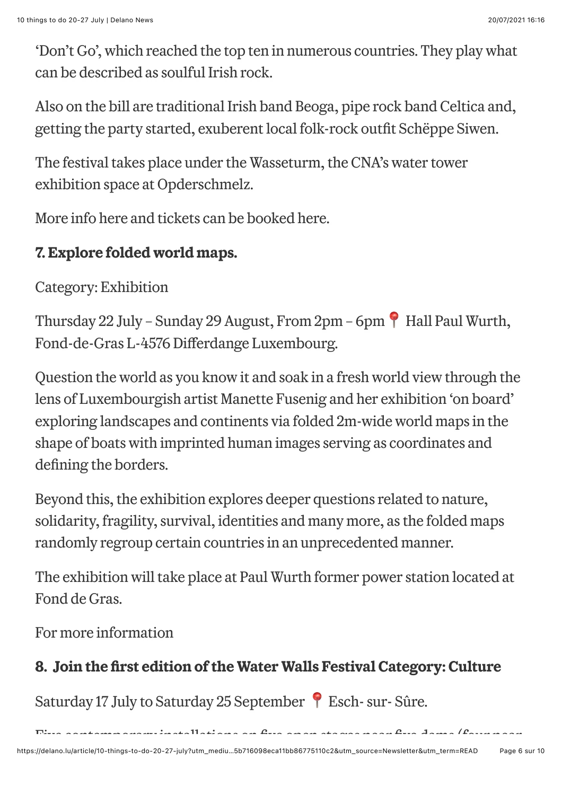'Don't Go', which reached the top ten in numerous countries. They play what can be described as soulful Irish rock.

Also on the bill are traditional Irish band Beoga, pipe rock band Celtica and, getting the party started, exuberent local folk-rock outfit Schëppe Siwen.

The festival takes place under the Wasseturm, the CNA's water tower exhibition space at Opderschmelz.

More info [here](https://zeltik.lu/) and tickets can be booked [here.](https://zeltik.lu/tickets/)

### **7. Explore folded world maps.**

Category: Exhibition

Thursday 22 July – Sunday 29 August, From 2pm – 6pm Hall Paul Wurth, Fond-de-Gras L-4576 Differdange Luxembourg.

Question the world as you know it and soak in a fresh world view through the lens of Luxembourgish artist Manette Fusenig and her exhibition 'on board' exploring landscapes and continents via folded 2m-wide world maps in the shape of boats with imprinted human images serving as coordinates and defining the borders.

Beyond this, the exhibition explores deeper questions related to nature, solidarity, fragility, survival, identities and many more, as the folded maps randomly regroup certain countries in an unprecedented manner.

The exhibition will take place at Paul Wurth former power station located at Fond de Gras.

[For more information](https://minettpark.lu/eng/evenements/56_exposition-a-bord-de-manette-fusenig)

# **8. Join the !rst edition of the Water Walls Festival Category: Culture**

Saturday 17 July to Saturday 25 September Esch- sur- Sûre.

 $\mathcal{L}_{\text{max}}$  installations on five open stages near five dams (four near  $\mathcal{L}_{\text{max}}$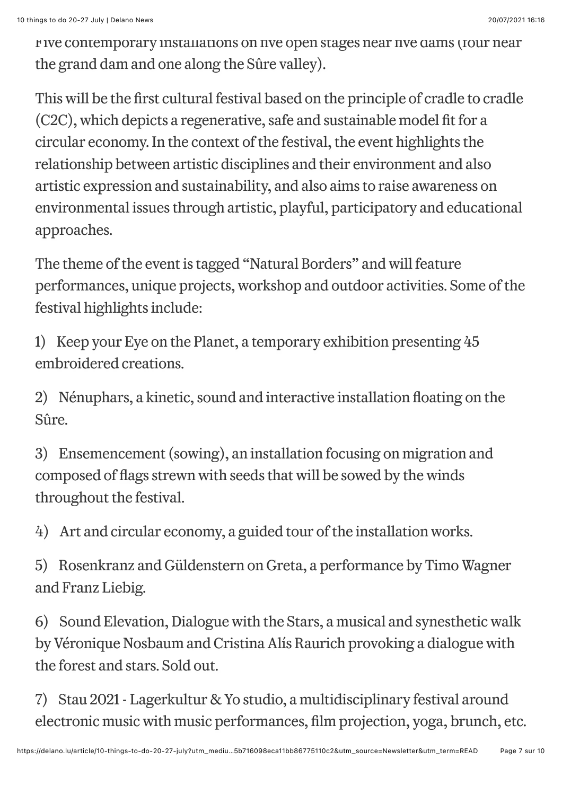Five contemporary installations on five open stages near five dams (four near the grand dam and one along the Sûre valley).

This will be the first cultural festival based on the principle of cradle to cradle (C2C), which depicts a regenerative, safe and sustainable model fit for a circular economy. In the context of the festival, the event highlights the relationship between artistic disciplines and their environment and also artistic expression and sustainability, and also aims to raise awareness on environmental issues through artistic, playful, participatory and educational approaches.

The theme of the event is tagged "Natural Borders" and will feature performances, unique projects, workshop and outdoor activities. Some of the festival highlights include:

1) Keep your Eye on the Planet, a temporary exhibition presenting 45 embroidered creations.

2) Nénuphars, a kinetic, sound and interactive installation floating on the Sûre.

3) Ensemencement (sowing), an installation focusing on migration and composed of flags strewn with seeds that will be sowed by the winds throughout the festival.

4) Art and circular economy, a guided tour of the installation works.

5) Rosenkranz and Güldenstern on Greta, a performance by Timo Wagner and Franz Liebig.

6) Sound Elevation, Dialogue with the Stars, a musical and synesthetic walk by Véronique Nosbaum and Cristina Alís Raurich provoking a dialogue with the forest and stars. Sold out.

7) Stau 2021 - Lagerkultur & Yo studio, a multidisciplinary festival around electronic music with music performances, film projection, yoga, brunch, etc.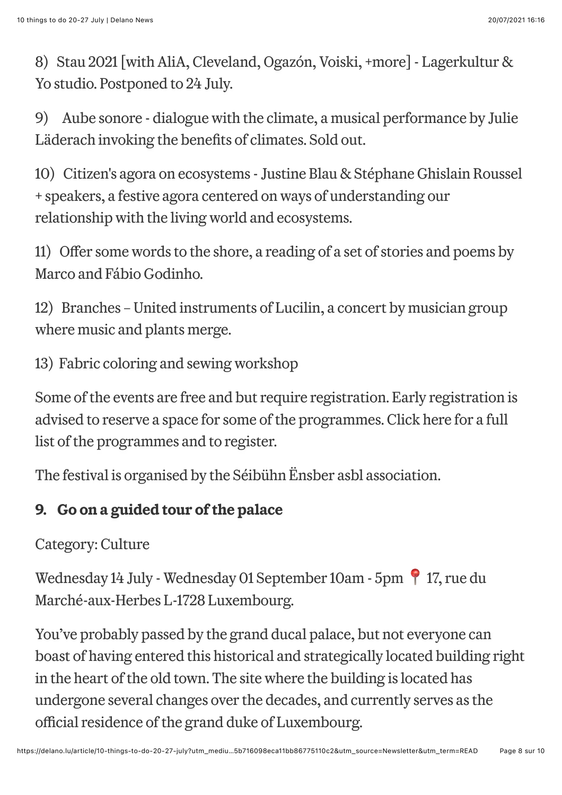8) Stau 2021 [with AliA, Cleveland, Ogazón, Voiski, +more] - Lagerkultur & Yo studio. Postponed to 24 July.

9) Aube sonore - dialogue with the climate, a musical performance by Julie Läderach invoking the benefits of climates. Sold out.

10) Citizen's agora on ecosystems - Justine Blau & Stéphane Ghislain Roussel + speakers, a festive agora centered on ways of understanding our relationship with the living world and ecosystems.

11) Offer some words to the shore, a reading of a set of stories and poems by Marco and Fábio Godinho.

12) Branches – United instruments of Lucilin, a concert by musician group where music and plants merge.

13) Fabric coloring and sewing workshop

Some of the events are free and but require registration. Early registration is advised to reserve a space for some of the programmes. Click [here](https://www.waterwalls.seibuehn.lu/programmation-events?lang=en) for a full list of the programmes and to register.

The festival is organised by the Séibühn Ënsber asbl association.

# **9. Go on a guided tour of the palace**

Category: Culture

Wednesday 14 July - Wednesday 01 September 10am - 5pm | 17, rue du Marché-aux-Herbes L-1728 Luxembourg.

You've probably passed by the grand ducal palace, but not everyone can boast of having entered this historical and strategically located building right in the heart of the old town. The site where the building is located has undergone several changes over the decades, and currently serves as the official residence of the grand duke of Luxembourg.